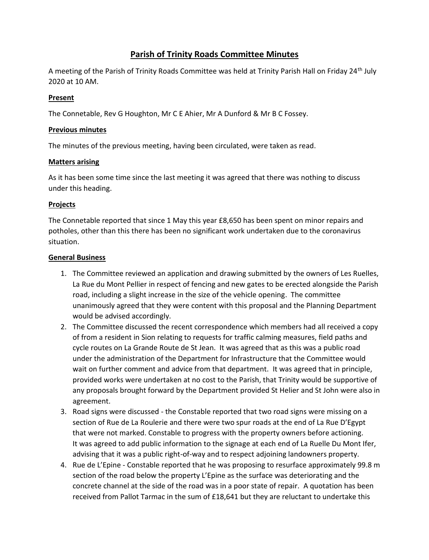# **Parish of Trinity Roads Committee Minutes**

A meeting of the Parish of Trinity Roads Committee was held at Trinity Parish Hall on Friday 24<sup>th</sup> July 2020 at 10 AM.

## **Present**

The Connetable, Rev G Houghton, Mr C E Ahier, Mr A Dunford & Mr B C Fossey.

#### **Previous minutes**

The minutes of the previous meeting, having been circulated, were taken as read.

### **Matters arising**

As it has been some time since the last meeting it was agreed that there was nothing to discuss under this heading.

### **Projects**

The Connetable reported that since 1 May this year £8,650 has been spent on minor repairs and potholes, other than this there has been no significant work undertaken due to the coronavirus situation.

#### **General Business**

- 1. The Committee reviewed an application and drawing submitted by the owners of Les Ruelles, La Rue du Mont Pellier in respect of fencing and new gates to be erected alongside the Parish road, including a slight increase in the size of the vehicle opening. The committee unanimously agreed that they were content with this proposal and the Planning Department would be advised accordingly.
- 2. The Committee discussed the recent correspondence which members had all received a copy of from a resident in Sion relating to requests for traffic calming measures, field paths and cycle routes on La Grande Route de St Jean. It was agreed that as this was a public road under the administration of the Department for Infrastructure that the Committee would wait on further comment and advice from that department. It was agreed that in principle, provided works were undertaken at no cost to the Parish, that Trinity would be supportive of any proposals brought forward by the Department provided St Helier and St John were also in agreement.
- 3. Road signs were discussed the Constable reported that two road signs were missing on a section of Rue de La Roulerie and there were two spur roads at the end of La Rue D'Egypt that were not marked. Constable to progress with the property owners before actioning. It was agreed to add public information to the signage at each end of La Ruelle Du Mont Ifer, advising that it was a public right-of-way and to respect adjoining landowners property.
- 4. Rue de L'Epine Constable reported that he was proposing to resurface approximately 99.8 m section of the road below the property L'Epine as the surface was deteriorating and the concrete channel at the side of the road was in a poor state of repair. A quotation has been received from Pallot Tarmac in the sum of £18,641 but they are reluctant to undertake this